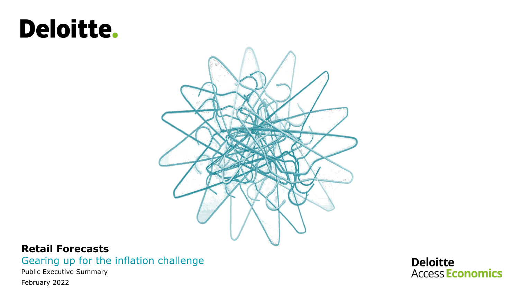# **Deloitte.**



## **Retail Forecasts**

Gearing up for the inflation challenge

Public Executive Summary

February 2022

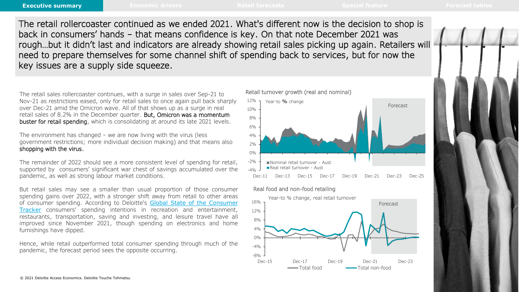The retail rollercoaster continued as we ended 2021. What's different now is the decision to shop is back in consumers' hands – that means confidence is key. On that note December 2021 was rough…but it didn't last and indicators are already showing retail sales picking up again. Retailers will need to prepare themselves for some channel shift of spending back to services, but for now the key issues are a supply side squeeze.

The retail sales rollercoaster continues, with a surge in sales over Sep-21 to Nov-21 as restrictions eased, only for retail sales to once again pull back sharply over Dec-21 amid the Omicron wave. All of that shows up as a surge in real retail sales of 8.2% in the December quarter. But, Omicron was a momentum buster for retail spending, which is consolidating at around its late 2021 levels.

The environment has changed – we are now living with the virus (less government restrictions; more individual decision making) and that means also shopping with the virus.

The remainder of 2022 should see a more consistent level of spending for retail, supported by consumers' significant war chest of savings accumulated over the pandemic, as well as strong labour market conditions.

But retail sales may see a smaller than usual proportion of those consumer spending gains over 2022, with a stronger shift away from retail to other areas of consumer spending. According to Deloitte's Global State of the Consumer Tracker consumers' spending intentions in recreation and [entertainment,](https://www2.deloitte.com/us/en/insights/industry/retail-distribution/consumer-behavior-trends-state-of-the-consumer-tracker.html) restaurants, transportation, saving and investing, and leisure travel have all improved since November 2021, though spending on electronics and home furnishings have dipped.

Hence, while retail outperformed total consumer spending through much of the pandemic, the forecast period sees the opposite occurring.



#### Real food and non-food retailing

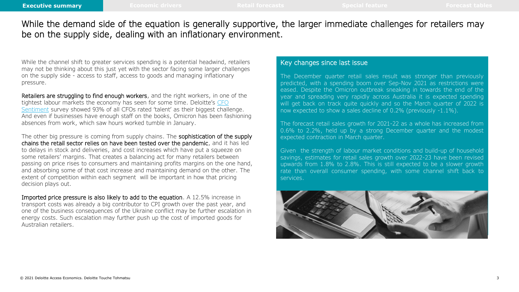While the demand side of the equation is generally supportive, the larger immediate challenges for retailers may be on the supply side, dealing with an inflationary environment.

While the channel shift to greater services spending is a potential headwind, retailers may not be thinking about this just yet with the sector facing some larger challenges on the supply side - access to staff, access to goods and managing inflationary pressure.

Retailers are struggling to find enough workers, and the right workers, in one of the tightest labour markets the economy has seen for some time. Deloitte's CFO Sentiment [survey showed 93% of all CFOs rated 'talent' as their biggest chall](https://www2.deloitte.com/au/en/pages/about-deloitte/articles/cfo-sentiment-edition-12.html)enge. And even if businesses have enough staff on the books, Omicron has been fashioning absences from work, which saw hours worked tumble in January.

The other big pressure is coming from supply chains. The sophistication of the supply chains the retail sector relies on have been tested over the pandemic, and it has led to delays in stock and deliveries, and cost increases which have put a squeeze on some retailers' margins. That creates a balancing act for many retailers between passing on price rises to consumers and maintaining profits margins on the one hand, and absorbing some of that cost increase and maintaining demand on the other. The extent of competition within each segment will be important in how that pricing decision plays out.

Imported price pressure is also likely to add to the equation. A 12.5% increase in transport costs was already a big contributor to CPI growth over the past year, and one of the business consequences of the Ukraine conflict may be further escalation in energy costs. Such escalation may further push up the cost of imported goods for Australian retailers.

#### Key changes since last issue

The December quarter retail sales result was stronger than previously predicted, with a spending boom over Sep-Nov 2021 as restrictions were eased. Despite the Omicron outbreak sneaking in towards the end of the year and spreading very rapidly across Australia it is expected spending will get back on track quite quickly and so the March quarter of 2022 is now expected to show a sales decline of 0.2% (previously -1.1%).

The forecast retail sales growth for 2021-22 as a whole has increased from 0.6% to 2.2%, held up by a strong December quarter and the modest expected contraction in March quarter.

Given the strength of labour market conditions and build-up of household savings, estimates for retail sales growth over 2022-23 have been revised upwards from 1.8% to 2.8%. This is still expected to be a slower growth rate than overall consumer spending, with some channel shift back to services.

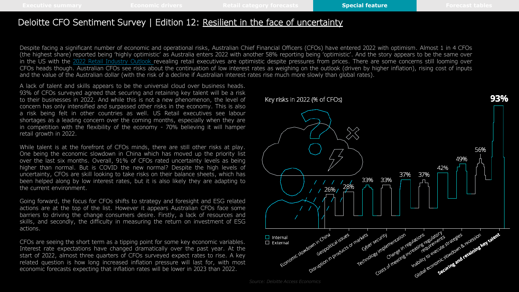### Deloitte CFO Sentiment Survey | Edition 12: Resilient in the face of [uncertainty](https://www2.deloitte.com/au/en/pages/about-deloitte/articles/cfo-sentiment-edition-12.html)

Despite facing a significant number of economic and operational risks, Australian Chief Financial Officers (CFOs) have entered 2022 with optimism. Almost 1 in 4 CFOs (the highest share) reported being 'highly optimistic' as Australia enters 2022 with another 58% reporting being 'optimistic'. And the story appears to be the same over in the US with the 2022 Retail [Industry](https://www2.deloitte.com/au/en/pages/consumer-business/articles/2022-retail-industry-outlook.html) Outlook revealing retail executives are optimistic despite pressures from prices. There are some concerns still looming over CFOs heads though. Australian CFOs see risks about the continuation of low interest rates as weighing on the outlook (driven by higher inflation), rising cost of inputs and the value of the Australian dollar (with the risk of a decline if Australian interest rates rise much more slowly than global rates).

A lack of talent and skills appears to be the universal cloud over business heads. 93% of CFOs surveyed agreed that securing and retaining key talent will be a risk to their businesses in 2022. And while this is not a new phenomenon, the level of concern has only intensified and surpassed other risks in the economy. This is also a risk being felt in other countries as well. US Retail executives see labour shortages as a leading concern over the coming months, especially when they are in competition with the flexibility of the economy - 70% believing it will hamper retail growth in 2022.

While talent is at the forefront of CFOs minds, there are still other risks at play. One being the economic slowdown in China which has moved up the priority list over the last six months. Overall, 91% of CFOs rated uncertainty levels as being higher than normal. But is COVID the new normal? Despite the high levels of uncertainty, CFOs are skill looking to take risks on their balance sheets, which has been helped along by low interest rates, but it is also likely they are adapting to the current environment.

Going forward, the focus for CFOs shifts to strategy and foresight and ESG related actions are at the top of the list. However it appears Australian CFOs face some barriers to driving the change consumers desire. Firstly, a lack of resources and skills, and secondly, the difficulty in measuring the return on investment of ESG actions.

CFOs are seeing the short term as a tipping point for some key economic variables. Interest rate expectations have changed dramatically over the past year. At the start of 2022, almost three quarters of CFOs surveyed expect rates to rise. A key related question is how long increased inflation pressure will last for, with most economic forecasts expecting that inflation rates will be lower in 2023 than 2022.



*Source: Deloitte Access Economics*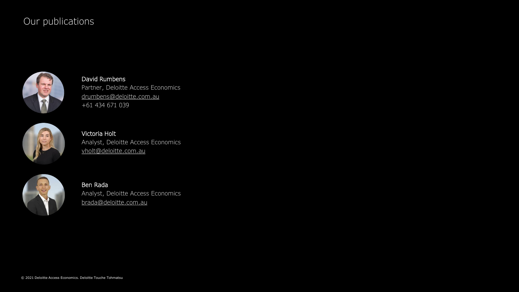## Our publications



David Rumbens Partner, Deloitte Access Economics [drumbens@deloitte.com.au](mailto:drumbens@deloitte.com.au) +61 434 671 039



Victoria Holt Analyst, Deloitte Access Economics [vholt@deloitte.com.au](mailto:emdabbs@deloitte.com.au)



Ben Rada Analyst, Deloitte Access Economics brada@deloitte.com.au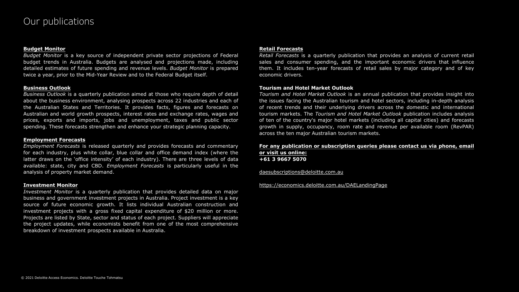#### **Budget Monitor**

*Budget Monitor* is a key source of independent private sector projections of Federal budget trends in Australia. Budgets are analysed and projections made, including detailed estimates of future spending and revenue levels. *Budget Monitor* is prepared twice a year, prior to the Mid-Year Review and to the Federal Budget itself.

#### **Business Outlook**

*Business Outlook* is a quarterly publication aimed at those who require depth of detail about the business environment, analysing prospects across 22 industries and each of the Australian States and Territories. It provides facts, figures and forecasts on Australian and world growth prospects, interest rates and exchange rates, wages and prices, exports and imports, jobs and unemployment, taxes and public sector spending. These forecasts strengthen and enhance your strategic planning capacity.

#### **Employment Forecasts**

*Employment Forecasts* is released quarterly and provides forecasts and commentary for each industry, plus white collar, blue collar and office demand index (where the latter draws on the 'office intensity' of each industry). There are three levels of data available: state, city and CBD. *Employment Forecasts* is particularly useful in the analysis of property market demand.

#### **Investment Monitor**

*Investment Monitor* is a quarterly publication that provides detailed data on major business and government investment projects in Australia. Project investment is a key source of future economic growth. It lists individual Australian construction and investment projects with a gross fixed capital expenditure of \$20 million or more. Projects are listed by State, sector and status of each project. Suppliers will appreciate the project updates, while economists benefit from one of the most comprehensive breakdown of investment prospects available in Australia.

#### **Retail Forecasts**

*Retail Forecasts* is a quarterly publication that provides an analysis of current retail sales and consumer spending, and the important economic drivers that influence them. It includes ten-year forecasts of retail sales by major category and of key economic drivers.

#### **Tourism and Hotel Market Outlook**

*Tourism and Hotel Market Outlook* is an annual publication that provides insight into the issues facing the Australian tourism and hotel sectors, including in-depth analysis of recent trends and their underlying drivers across the domestic and international tourism markets. The *Tourism and Hotel Market Outlook* publication includes analysis of ten of the country's major hotel markets (including all capital cities) and forecasts growth in supply, occupancy, room rate and revenue per available room (RevPAR) across the ten major Australian tourism markets.

#### **For any publication or subscription queries please contact us via phone, email or visit us online: +61 3 9667 5070**

[daesubscriptions@deloitte.com.au](mailto:daesubscriptions@deloitte.com.au)

#### <https://economics.deloitte.com.au/DAELandingPage>